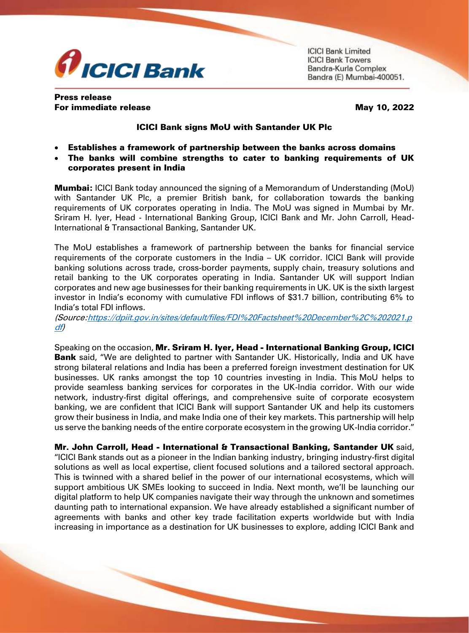

**ICICI Bank Limited ICICI Bank Towers** Bandra-Kurla Complex Bandra (E) Mumbai-400051.

## Press release For immediate release May 10, 2022

## ICICI Bank signs MoU with Santander UK Plc

- Establishes a framework of partnership between the banks across domains
- The banks will combine strengths to cater to banking requirements of UK corporates present in India

**Mumbai:** ICICI Bank today announced the signing of a Memorandum of Understanding (MoU) with Santander UK Plc, a premier British bank, for collaboration towards the banking requirements of UK corporates operating in India. The MoU was signed in Mumbai by Mr. Sriram H. Iyer, Head - International Banking Group, ICICI Bank and Mr. John Carroll, Head-International & Transactional Banking, Santander UK.

The MoU establishes a framework of partnership between the banks for financial service requirements of the corporate customers in the India – UK corridor. ICICI Bank will provide banking solutions across trade, cross-border payments, supply chain, treasury solutions and retail banking to the UK corporates operating in India. Santander UK will support Indian corporates and new age businesses for their banking requirements in UK. UK is the sixth largest investor in India's economy with cumulative FDI inflows of \$31.7 billion, contributing 6% to India's total FDI inflows.

(Source[:https://dpiit.gov.in/sites/default/files/FDI%20Factsheet%20December%2C%202021.p](https://secure-web.cisco.com/1qmO9P5j18bpB9gCTNuSlt2vtgf5PrxmQEA3bZcR3feiPt59cFZaaL9C83Dir3ChhU4eRHRaEUcCQtT8GDJxwNQCaO7bTwwQu3p3Bs2nSJbk8sLk2xpRcpKOtgP5AM_jzQ-4jZENvjDaSl_-3Ij4aL1ZJfFmf4EDILuoi7Q4_Vgtjl3JsK8r61FihGWqgRd_EmJdUAYy2KcNrxUYGMSLVRe_K3_MHS60fpfBwGRPLyJQjXTt6PAWANE4NKWdznSsIqui75qKsxBOs-xDCqBGEhA-V47twp-pFvfSOIlDc7kdAS-KXBZDjEJXTI-uPFPmT/https%3A%2F%2Fdpiit.gov.in%2Fsites%2Fdefault%2Ffiles%2FFDI%2520Factsheet%2520December%252C%25202021.pdf) [df\)](https://secure-web.cisco.com/1qmO9P5j18bpB9gCTNuSlt2vtgf5PrxmQEA3bZcR3feiPt59cFZaaL9C83Dir3ChhU4eRHRaEUcCQtT8GDJxwNQCaO7bTwwQu3p3Bs2nSJbk8sLk2xpRcpKOtgP5AM_jzQ-4jZENvjDaSl_-3Ij4aL1ZJfFmf4EDILuoi7Q4_Vgtjl3JsK8r61FihGWqgRd_EmJdUAYy2KcNrxUYGMSLVRe_K3_MHS60fpfBwGRPLyJQjXTt6PAWANE4NKWdznSsIqui75qKsxBOs-xDCqBGEhA-V47twp-pFvfSOIlDc7kdAS-KXBZDjEJXTI-uPFPmT/https%3A%2F%2Fdpiit.gov.in%2Fsites%2Fdefault%2Ffiles%2FFDI%2520Factsheet%2520December%252C%25202021.pdf)

Speaking on the occasion, Mr. Sriram H. Iyer, Head - International Banking Group, ICICI **Bank** said, "We are delighted to partner with Santander UK. Historically, India and UK have strong bilateral relations and India has been a preferred foreign investment destination for UK businesses. UK ranks amongst the top 10 countries investing in India. This MoU helps to provide seamless banking services for corporates in the UK-India corridor. With our wide network, industry-first digital offerings, and comprehensive suite of corporate ecosystem banking, we are confident that ICICI Bank will support Santander UK and help its customers grow their business in India, and make India one of their key markets. This partnership will help us serve the banking needs of the entire corporate ecosystem in the growing UK-India corridor."

Mr. John Carroll, Head - International & Transactional Banking, Santander UK said, "ICICI Bank stands out as a pioneer in the Indian banking industry, bringing industry-first digital solutions as well as local expertise, client focused solutions and a tailored sectoral approach. This is twinned with a shared belief in the power of our international ecosystems, which will support ambitious UK SMEs looking to succeed in India. Next month, we'll be launching our digital platform to help UK companies navigate their way through the unknown and sometimes daunting path to international expansion. We have already established a significant number of agreements with banks and other key trade facilitation experts worldwide but with India increasing in importance as a destination for UK businesses to explore, adding ICICI Bank and